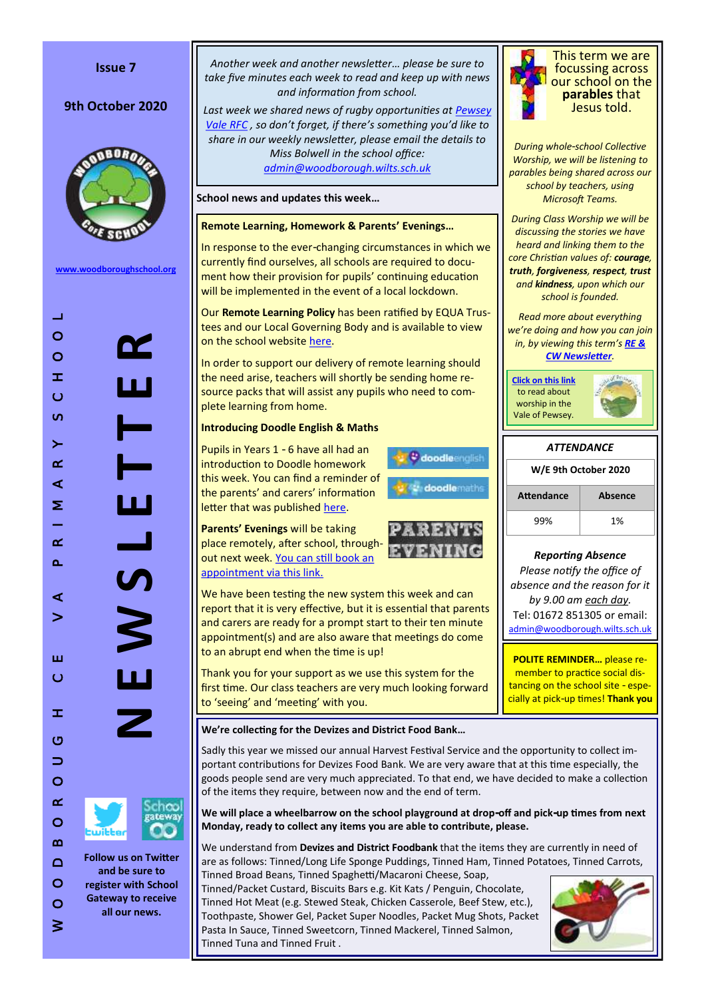### **Issue 7**

# 9th October 2020



**[www.woodboroughschool.org](https://woodboroughschool.org/)**

WHEN October 2020<br>
W O C C H O O R O D B O R O D C H O O L O R O D C H O O L O THE A R P R O L O THE SCHOOLS OF THE SCHOOLS OF THE SCHOOLS OF THE SCHOOLS OF THE SCHOOLS OF THE SCHOOLS OF THE SCHOOLS OF THE SCHOOLS OF THE  $\pm 1$  $\circ$ **N E W S L E T T E R** Y  $\circ$  $\pm$  $\ddot{\circ}$  $\overline{\mathbf{u}}$ chao **and be sure to**   $\circ$ 

**Follow us on Twitter** 

**register with School Gateway to receive all our news.**

*Another week and another newsletter… please be sure to take five minutes each week to read and keep up with news and information from school.*

*Last week we shared news of rugby opportunities at [Pewsey](https://woodboroughschool.org/parents/community-activities/)  [Vale RFC](https://woodboroughschool.org/parents/community-activities/) , so don't forget, if there's something you'd like to share in our weekly newsletter, please email the details to Miss Bolwell in the school office: [admin@woodborough.wilts.sch.uk](mailto:admin@woodborough.wilts.sch.uk)*

**School news and updates this week…**

### **Remote Learning, Homework & Parents' Evenings…**

In response to the ever-changing circumstances in which we currently find ourselves, all schools are required to document how their provision for pupils' continuing education will be implemented in the event of a local lockdown.

Our **Remote Learning Policy** has been ratified by EQUA Trustees and our Local Governing Body and is available to view on the school website [here.](https://woodboroughschool.org/wp-content/uploads/2020/10/Woodborough-CE-Primary-School-Equa-Remote-Learning-Policy-September-2020.pdf)

In order to support our delivery of remote learning should the need arise, teachers will shortly be sending home resource packs that will assist any pupils who need to complete learning from home.

## **Introducing Doodle English & Maths**

Pupils in Years 1 - 6 have all had an introduction to Doodle homework this week. You can find a reminder of the parents' and carers' information letter that was published [here.](https://woodboroughschool.org/wp-content/uploads/2020/10/Letter-to-Parents-Carers-re.-New-Homework-Plan-2020-21-Oct-2020.pdf)

**Parents' Evenings** will be taking place remotely, after school, throughout next week. [You can still book an](https://woodboroughschool.org/wp-content/uploads/2020/09/Letter-to-Parents-Carers-re.-Parents-Evenings-Autumn-Term-2020-29.09.20.pdf)  [appointment via this link.](https://woodboroughschool.org/wp-content/uploads/2020/09/Letter-to-Parents-Carers-re.-Parents-Evenings-Autumn-Term-2020-29.09.20.pdf)

We have been testing the new system this week and can report that it is very effective, but it is essential that parents and carers are ready for a prompt start to their ten minute appointment(s) and are also aware that meetings do come to an abrupt end when the time is up!

Thank you for your support as we use this system for the first time. Our class teachers are very much looking forward to 'seeing' and 'meeting' with you.

**We're collecting for the Devizes and District Food Bank…**

Sadly this year we missed our annual Harvest Festival Service and the opportunity to collect important contributions for Devizes Food Bank. We are very aware that at this time especially, the goods people send are very much appreciated. To that end, we have decided to make a collection of the items they require, between now and the end of term.

**V** doodleenglish

doodlemaths

**We will place a wheelbarrow on the school playground at drop-off and pick-up times from next Monday, ready to collect any items you are able to contribute, please.**

We understand from **Devizes and District Foodbank** that the items they are currently in need of are as follows: Tinned/Long Life Sponge Puddings, Tinned Ham, Tinned Potatoes, Tinned Carrots, Tinned Broad Beans, Tinned Spaghetti/Macaroni Cheese, Soap,

Tinned/Packet Custard, Biscuits Bars e.g. Kit Kats / Penguin, Chocolate, Tinned Hot Meat (e.g. Stewed Steak, Chicken Casserole, Beef Stew, etc.), Toothpaste, Shower Gel, Packet Super Noodles, Packet Mug Shots, Packet Pasta In Sauce, Tinned Sweetcorn, Tinned Mackerel, Tinned Salmon, Tinned Tuna and Tinned Fruit .





This term we are focussing across our school on the **parables** that Jesus told.

*During whole-school Collective Worship, we will be listening to parables being shared across our school by teachers, using Microsoft Teams.* 

*During Class Worship we will be discussing the stories we have heard and linking them to the core Christian values of: courage, truth, forgiveness, respect, trust and kindness, upon which our school is founded.*

*Read more about everything we're doing and how you can join in, by viewing this term's [RE &](https://woodboroughschool.org/wp-content/uploads/2020/09/RE-NEWSLETTER-Autumn-1-2020-Parables.pdf)  [CW Newsletter](https://woodboroughschool.org/wp-content/uploads/2020/09/RE-NEWSLETTER-Autumn-1-2020-Parables.pdf).*

**[Click on this link](https://www.valeofpewsey.org/)** to read about worship in the Vale of Pewsey.



# *ATTENDANCE*



99% 1%

## *Reporting Absence*

*Please notify the office of absence and the reason for it by 9.00 am each day.*  Tel: 01672 851305 or email: [admin@woodborough.wilts.sch.uk](mailto:admin@woodborough.wilts.sch.uk)

**POLITE REMINDER…** please remember to practice social distancing on the school site - especially at pick-up times! **Thank you**

 $\circ$  $\geq$